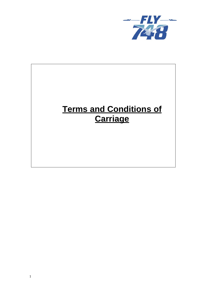

# **Terms and Conditions of Carriage**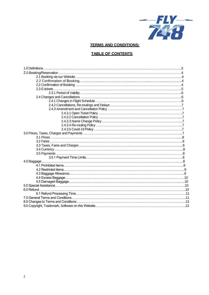

## **TERMS AND CONDITIONS:**

## **TABLE OF CONTENTS**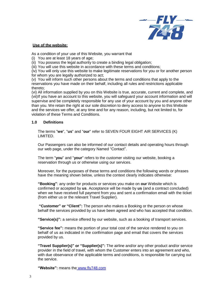

#### **Use of the website:**

As a condition of your use of this Website, you warrant that

- (i) You are at least 18 years of age;
- (ii) You possess the legal authority to create a binding legal obligation;
- (iii) You will use this website in accordance with these terms and conditions;

(iv) You will only use this website to make legitimate reservations for you or for another person for whom you are legally authorized to act;

(v) You will inform such other persons about the terms and conditions that apply to the reservations you have made on their behalf, including all rules and restrictions applicable thereto;

(vi) All information supplied by you on this Website is true, accurate, current and complete, and (vii)If you have an account to this website, you will safeguard your account information and will supervise and be completely responsible for any use of your account by you and anyone other than you. We retain the right at our sole discretion to deny access to anyone to this Website and the services we offer, at any time and for any reason, including, but not limited to, for violation of these Terms and Conditions.

## **1.0 Definitions**

The terms "**we**", "**us**" and "**our**" refer to SEVEN FOUR EIGHT AIR SERVICES (K) LIMITED.

Our Passengers can also be informed of our contact details and operating hours through our web page, under the category Named ["Contact".](http://www.tripsta.ie/contact-form)

The term "**you**" and "**your**" refers to the customer visiting our website, booking a reservation through us or otherwise using our services.

Moreover, for the purposes of these terms and conditions the following words or phrases have the meaning shown below, unless the context clearly indicates otherwise:

**"Booking"**: any order for products or services you make on **our** Website which is confirmed or accepted by **us**. Acceptance will be made by **us** (and a contract concluded) when we have received full payment from you and sent a confirmation email with the ticket (from either us or the relevant Travel Supplier).

**"Customer" or "Client":** The person who makes a Booking or the person on whose behalf the services provided by us have been agreed and who has accepted that condition.

**"Service(s)":** a service offered by our website, such as a booking of transport services.

**"Service fee":** means the portion of your total cost of the service rendered to you on behalf of us as indicated in the confirmation page and email that covers the services provided by us.

**"Travel Supplier(s)" or "Supplier(s)":** The airline and/or any other product and/or service provider in the field of travel, with whom the Customer enters into an agreement and who, with due observance of the applicable terms and conditions, is responsible for carrying out the service.

**"Website":** means the www.fly748.com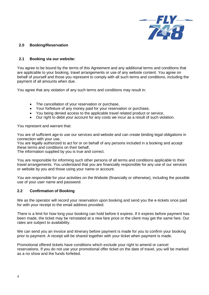

## **2.0 Booking/Reservation**

## **2.1 Booking via our website:**

You agree to be bound by the terms of this Agreement and any additional terms and conditions that are applicable to your booking, travel arrangements or use of any website content. You agree on behalf of yourself and those you represent to comply with all such terms and conditions, including the payment of all amounts when due.

You agree that any violation of any such terms and conditions may result in:

- The cancellation of your reservation or purchase,
- Your forfeiture of any money paid for your reservation or purchase,
- You being denied access to the applicable travel related product or service,
- Our right to debit your account for any costs we incur as a result of such violation.

You represent and warrant that:

You are of sufficient age to use our services and website and can create binding legal obligations in connection with your use,

You are legally authorized to act for or on behalf of any persons included in a booking and accept these terms and conditions on their behalf,

The information supplied by you is true and correct.

You are responsible for informing such other persons of all terms and conditions applicable to their travel arrangements. You understand that you are financially responsible for any use of our services or website by you and those using your name or account.

You are responsible for your activities on the Website (financially or otherwise), including the possible use of your user name and password.

## **2.2 Confirmation of Booking**

We as the operator will record your reservation upon booking and send you the e-tickets once paid for with your receipt to the email address provided.

There is a limit for how long your booking can hold before it expires. If it expires before payment has been made, the ticket may be reinstated at a new fare price or the client may get the same fare. Our rates are subject to availability.

We can send you an invoice and itinerary before payment is made for you to confirm your booking prior to payment. A receipt will be shared together with your ticket when payment is made.

Promotional offered tickets have conditions which exclude your right to amend or cancel reservations. If you do not use your promotional offer ticket on the date of travel, you will be marked as a no show and the funds forfeited.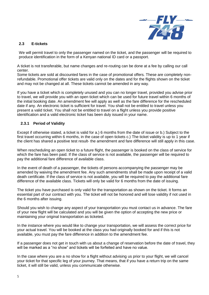

## **2.3 E-tickets**

We will permit travel to only the passenger named on the ticket, and the passenger will be required to produce identification in the form of a Kenyan national ID card or a passport.

A ticket is not transferable, but name changes and re-routing can be done at a fee by calling our call center.

Some tickets are sold at discounted fares in the case of promotional offers. These are completely nonrefundable. Promotional offer tickets are valid only on the dates and for the flights shown on the ticket and may not be changed at all. These tickets cannot be amended in any way.

If you have a ticket which is completely unused and you can no longer travel, provided you advise prior to travel, we will provide you with an open ticket which can be used for future travel within 6 months of the initial booking date. An amendment fee will apply as well as the fare difference for the rescheduled date if any. An electronic ticket is sufficient for travel. You shall not be entitled to travel unless you present a valid ticket. You shall not be entitled to travel on a flight unless you provide positive identification and a valid electronic ticket has been duly issued in your name.

## **2.3.1 Period of Validity**

Except if otherwise stated, a ticket is valid for a.) 6 months from the date of issue or b.) Subject to the first travel occurring within 6 months, in the case of open tickets c.) The ticket validity is up to 1 year if the client has shared a positive test result- the amendment and fare difference will still apply in this case.

When rescheduling an open ticket to a future flight, the passenger is booked on the class of service for which the fare has been paid. If the class of service is not available, the passenger will be required to pay the additional fare difference of available class.

In the event of death of a passenger, the tickets of persons accompanying the passenger may be amended by waiving the amendment fee. Any such amendments shall be made upon receipt of a valid death certificate. If the class of service is not available, you will be required to pay the additional fare difference of the available class. Tickets will only be valid for 6 months from the date of issuing.

The ticket you have purchased is only valid for the transportation as shown on the ticket. It forms an essential part of our contract with you. The ticket will not be honored and will lose validity if not used in the 6 months after issuing.

Should you wish to change any aspect of your transportation you must contact us in advance. The fare of your new flight will be calculated and you will be given the option of accepting the new price or maintaining your original transportation as ticketed.

In the instance where you would like to change your transportation, we will assess the correct price for your actual travel. You will be booked at the class you had originally booked for and if this is not available, you must pay the fare difference in addition to the amendment fee.

If a passenger does not get in touch with us about a change of reservation before the date of travel, they will be marked as a "no show" and tickets will be forfeited and have no value.

In the case where you are a no show for a flight without advising us prior to your flight, we will cancel your ticket for that specific leg of your journey. That means, that if you have a return trip on the same ticket, it will still be valid, unless you communicate otherwise.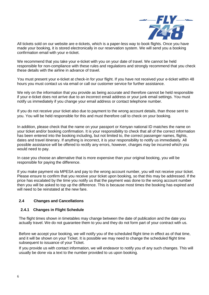

All tickets sold on our website are e-tickets, which is a paper-less way to book flights. Once you have made your booking, it is stored electronically in our reservation system. We will send you a booking confirmation email with your e-ticket.

We recommend that you take your e-ticket with you on your date of travel. We cannot be held responsible for non-compliance with these rules and regulations and strongly recommend that you check these details with the airline in advance of travel.

You must present your e-ticket at check-in for your flight. If you have not received your e-ticket within 48 hours you must contact us via email or call our customer service for further assistance.

We rely on the information that you provide as being accurate and therefore cannot be held responsible if your e-ticket does not arrive due to an incorrect email address or your junk email settings. You must notify us immediately if you change your email address or contact telephone number.

If you do not receive your ticket also due to payment to the wrong account details, than those sent to you. You will be held responsible for this and must therefore call to check on your booking.

In addition, please check that the name on your passport or Kenyan national ID matches the name on your ticket and/or booking confirmation. It is your responsibility to check that all of the correct information has been entered into the booking including, but not limited to, the correct passenger names, flights, dates and travel itinerary. If anything is incorrect, it is your responsibility to notify us immediately. All possible assistance will be offered to rectify any errors, however, charges may be incurred which you would need to pay.

In case you choose an alternative that is more expensive than your original booking, you will be responsible for paying the difference.

If you make payment via MPESA and pay to the wrong account number, you will not receive your ticket. Please ensure to confirm that you receive your ticket upon booking, so that this may be addressed. If the price has escalated by the time you notify us that the payment was done to the wrong account number then you will be asked to top up the difference. This is because most times the booking has expired and will need to be reinstated at the new fare.

# **2.4 Changes and Cancellations**

## **2.4.1 Changes in Flight Schedule**

The flight times shown in timetables may change between the date of publication and the date you actually travel. We do not guarantee them to you and they do not form part of your contract with us.

Before we accept your booking, we will notify you of the scheduled flight time in effect as of that time, and it will be shown on your Ticket. It is possible we may need to change the scheduled flight time subsequent to issuance of your Ticket.

If you provide us with contact information, we will endeavor to notify you of any such changes. This will usually be done via a text to the number provided to us upon booking.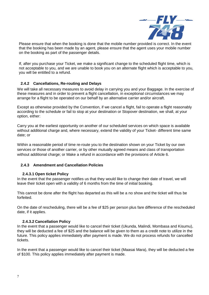

Please ensure that when the booking is done that the mobile number provided is correct. In the event that the booking has been made by an agent, please ensure that the agent uses your mobile number on the booking as part of the passenger details.

If, after you purchase your Ticket, we make a significant change to the scheduled flight time, which is not acceptable to you, and we are unable to book you on an alternate flight which is acceptable to you, you will be entitled to a refund.

# **2.4.2 Cancellations, Re-routing and Delays**

We will take all necessary measures to avoid delay in carrying you and your Baggage. In the exercise of these measures and in order to prevent a flight cancellation, in exceptional circumstances we may arrange for a flight to be operated on our behalf by an alternative carrier and/or aircraft.

Except as otherwise provided by the Convention, if we cancel a flight, fail to operate a flight reasonably according to the schedule or fail to stop at your destination or Stopover destination, we shall, at your option, either:

Carry you at the earliest opportunity on another of our scheduled services on which space is available without additional charge and, where necessary, extend the validity of your Ticket- different time same date; or

Within a reasonable period of time re-route you to the destination shown on your Ticket by our own services or those of another carrier, or by other mutually agreed means and class of transportation without additional charge; or Make a refund in accordance with the provisions of Article 6.

## **2.4.3 Amendment and Cancellation Policies**

## **2.4.3.1 Open ticket Policy**

In the event that the passenger notifies us that they would like to change their date of travel, we will leave their ticket open with a validity of 6 months from the time of initial booking.

This cannot be done after the flight has departed as this will be a no show and the ticket will thus be forfeited.

On the date of rescheduling, there will be a fee of \$25 per person plus fare difference of the rescheduled date, if it applies.

## **2.4.3.2 Cancellation Policy**

In the event that a passenger would like to cancel their ticket (Ukunda, Malindi, Mombasa and Kisumu), they will be deducted a fee of \$25 and the balance will be given to them as a credit note to utilize in the future. This policy applies immediately after payment is made. We do not process refunds for cancelled tickets.

In the event that a passenger would like to cancel their ticket (Maasai Mara), they will be deducted a fee of \$100. This policy applies immediately after payment is made.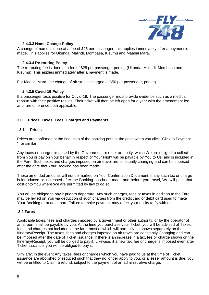

#### **2.4.3.3 Name Change Policy**

A change of name is done at a fee of \$25 per passenger, this applies immediately after a payment is made. This applies for Ukunda, Malindi, Mombasa, Kisumu and Maasai Mara.

#### **2.4.3.4 Re-routing Policy**

The re-routing fee is done at a fee of \$25 per passenger per leg (Ukunda, Malindi, Mombasa and Kisumu). This applies immediately after a payment is made.

For Maasai Mara, the change of air strip is charged at \$50 per passenger, per leg.

#### **2.4.3.5 Covid-19 Policy**

If a passenger tests positive for Covid-19. The passenger must provide evidence such as a medical repo9rt with their positive results. Their ticket will then be left open for a year with the amendment fee and fare difference both applicable.

## **3.0 Prices, Taxes, Fees, Charges and Payments.**

## **3.1 Prices**

Prices are confirmed at the final step of the booking path at the point when you click "Click to Payment ", or similar.

Any taxes or charges imposed by the Government or other authority, which We are obliged to collect from You or pay on Your behalf in respect of Your Flight will be payable by You to Us and is included in the Fare. Such taxes and charges imposed on air travel are constantly changing and can be imposed after the date that Your Booking has been made.

These amended amounts will not be marked on Your Confirmation Document. If any such tax or charge is introduced or increased after the Booking has been made and before you travel, We will pass that cost onto You where We are permitted by law to do so.

You will be obliged to pay it prior to departure. Any such charges, fees or taxes in addition to the Fare may be levied on You via deduction of such charges from the credit card or debit card used to make Your Booking or at an airport. Failure to make payment may affect your ability to fly with us.

#### **3.2 Fares**

Applicable taxes, fees and charges imposed by a government or other authority, or by the operator of an airport, shall be payable by you. At the time you purchase your Ticket, you will be advised of Taxes, fees and charges not included in the fare, most of which will normally be shown separately on the Itinerary/Receipt. The taxes, fees and charges imposed on air travel are constantly Changing and can be imposed after the date of Ticket issuance. If there is an increase in a tax, fee or charge shown on the Itinerary/Receipt, you will be obliged to pay it. Likewise, if a new tax, fee or charge is imposed even after Ticket issuance, you will be obliged to pay it.

Similarly, in the event Any taxes, fees or charges which you have paid to us at the time of Ticket issuance are abolished or reduced such that they no longer apply to you, or a lesser amount is due, you will be entitled to Claim a refund, subject to the payment of an administrative charge.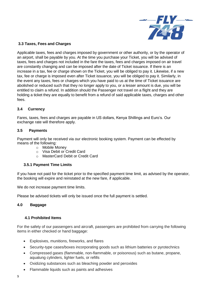

## **3.3 Taxes, Fees and Charges**

Applicable taxes, fees and charges imposed by government or other authority, or by the operator of an airport, shall be payable by you. At the time you purchase your Ticket, you will be advised of taxes, fees and charges not included in the fare the taxes, fees and charges imposed on air travel are constantly changing and can be imposed after the date of Ticket issuance. If there is an increase in a tax, fee or charge shown on the Ticket, you will be obliged to pay it. Likewise, if a new tax, fee or charge is imposed even after Ticket issuance, you will be obliged to pay it. Similarly, in the event any taxes, fees or charges which you have paid to us at the time of Ticket issuance are abolished or reduced such that they no longer apply to you, or a lesser amount is due, you will be entitled to claim a refund. In addition should the Passenger not travel on a flight and they are holding a ticket they are equally to benefit from a refund of said applicable taxes, charges and other fees.

## **3.4 Currency**

Fares, taxes, fees and charges are payable in US dollars, Kenya Shillings and Euro's. Our exchange rate will therefore apply.

## **3.5 Payments**

Payment will only be received via our electronic booking system. Payment can be effected by means of the following:

- o Mobile Money
- o Visa Debit or Credit Card
- o MasterCard Debit or Credit Card

# **3.5.1 Payment Time Limits**

If you have not paid for the ticket prior to the specified payment time limit, as advised by the operator, the booking will expire and reinstated at the new fare, if applicable.

We do not increase payment time limits.

Please be advised tickets will only be issued once the full payment is settled.

# **4.0 Baggage**

## **4.1 Prohibited Items**

For the safety of our passengers and aircraft, passengers are prohibited from carrying the following items in either checked or hand baggage:

- Explosives, munitions, fireworks, and flares
- Security-type cases/boxes incorporating goods such as lithium batteries or pyrotechnics
- Compressed gases (flammable, non-flammable, or poisonous) such as butane, propane, aqualung cylinders, lighter fuels, or refills
- Oxidizing substances such as bleaching powder and peroxides
- Flammable liquids such as paints and adhesives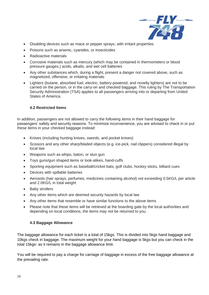

- Disabling devices such as mace or pepper sprays, with irritant properties
- Poisons such as arsenic, cyanides, or insecticides
- Radioactive materials
- Corrosive materials such as mercury (which may be contained in thermometers or blood pressure gauges,) acids, alkalis, and wet cell batteries
- Any other substances which, during a flight, present a danger not covered above, such as magnetized, offensive, or irritating materials
- Lighters (butane, absorbed fuel, electric, battery-powered, and novelty lighters) are not to be carried on the person, or in the carry-on and checked baggage. This ruling by The Transportation Security Administration (TSA) applies to all passengers arriving into or departing from United States of America.

## **4.2 Restricted Items**

In addition, passengers are not allowed to carry the following items in their hand baggage for passengers' safety and security reasons. To minimize inconvenience, you are advised to check in or put these items in your checked baggage instead:

- Knives (including hunting knives, swords, and pocket knives)
- Scissors and any other sharp/bladed objects (e.g. ice-pick, nail clippers) considered illegal by local law
- Weapons such as whips, baton, or stun gun
- Toys guns/gun shaped items or look-alikes, hand-cuffs
- Sporting equipment such as baseball/cricket bats, golf clubs, hockey sticks, billiard cues
- Devices with spillable batteries
- Aerosols (hair sprays, perfumes, medicines containing alcohol) not exceeding 0.5KG/L per article and 2.0KG/L in total weight
- Baby strollers
- Any other items which are deemed security hazards by local law
- Any other items that resemble or have similar functions to the above items
- Please note that these items will be retrieved at the boarding gate by the local authorities and depending on local conditions, the items may not be returned to you.

## **4.3 Baggage Allowance**

The baggage allowance for each ticket is a total of 15kgs. This is divided into 5kgs hand baggage and 10kgs check in baggage. The maximum weight for your hand baggage is 5kgs but you can check in the total 15kgs- as it remains in the baggage allowance limit.

You will be required to pay a charge for carriage of baggage in excess of the free baggage allowance at the prevailing rate.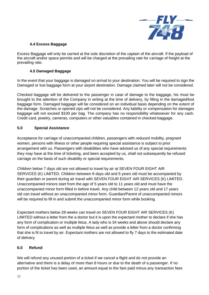

# **4.4 Excess Baggage**

Excess Baggage will only be carried at the sole discretion of the captain of the aircraft. If the payload of the aircraft and/or space permits and will be charged at the prevailing rate for carriage of freight at the prevailing rate.

# **4.5 Damaged Baggage**

In the event that your baggage is damaged on arrival to your destination. You will be required to sign the Damaged or lost baggage form at your airport destination. Damage claimed later will not be considered.

Checked baggage will be delivered to the passenger in case of damage to the baggage, his must be brought to the attention of the Company in writing at the time of delivery, by filling in the damaged/lost baggage form. Damaged baggage will be considered on an individual basis depending on the extent of the damage. Scratches or opened zips will not be considered. Any liability or compensation for damages baggage will not exceed \$100 per bag. The company has no responsibility whatsoever for any cash. Credit card, jewelry, cameras, computers or other valuables contained in checked baggage.

## **5.0 Special Assistance**

Acceptance for carriage of unaccompanied children, passengers with reduced mobility, pregnant women, persons with illness or other people requiring special assistance is subject to prior arrangement with us. Passengers with disabilities who have advised us of any special requirements they may have at the time of ticketing, and been accepted by us, shall not subsequently be refused carriage on the basis of such disability or special requirements.

Children below 7 days old are not allowed to travel by air at SEVEN FOUR EIGHT AIR SERVICES (K) LIMITED. Children between 8 days old and 5 years old must be accompanied by their guardian or parent during air travel with SEVEN FOUR EIGHT AIR SERVICES (K) LIMITED. Unaccompanied minors start from the age of 5 years old to 11 years old and must have the unaccompanied minor form filled in before travel. Any child between 12 years old and 17 years old can travel without an unaccompanied minor form. Guardian/Parent of unaccompanied minors will be required to fill in and submit the unaccompanied minor form while booking.

Expectant mothers below 28 weeks can travel on SEVEN FOUR EIGHT AIR SERVICES (K) LIMITED without a letter from the a doctor but it is upon the expectant mother to declare if she has any form of complication or multiple fetus. A lady who is 34 weeks and above should declare any form of complications as well as multiple fetus as well as provide a letter from a doctor confirming that she is fit to travel by air. Expectant mothers are not allowed to fly 7 days to the estimated date of delivery.

## **6.0 Refund**

We will refund any unused portion of a ticket if we cancel a flight and do not provide an alternative and there is a delay of more than 8 hours or due to the death of a passenger. If no portion of the ticket has been used, an amount equal to the fare paid minus any transaction fees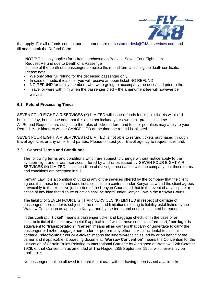

that apply. For all refunds contact our customer care on **customerdesk@748airservices.com** and fill and submit the Refund Form.

NOTE: This only applies for tickets purchased on Booking Seven Four Eight.com Request Refund due to Death of a Passenger

In case of the death of a passenger complete the refund form attaching the death certificate. Please note:

- We only offer full refund for the deceased passenger only.
- In case of medical reasons- you will receive an open ticket NO REFUND
- NO REFUND for family members who were going to accompany the deceased prior to the
- Travel or were with him when the passenger died the amendment fee will however be waived

#### **6.1 Refund Processing Times**

SEVEN FOUR EIGHT AIR SERVICES (K) LIMITED will issue refunds for eligible tickets within 14 business day, but please note that this does not include your own bank processing time. All Refund Requests are subject to the rules of ticketed fare, and fees or penalties may apply to your Refund. Your itinerary will be CANCELLED at the time the refund is initiated.

SEVEN FOUR EIGHT AIR SERVICES (K) LIMITED is not able to refund tickets purchased through travel agencies or any other third parties. Please contact your travel agency to request a refund.

#### **7.0 General Terms and Conditions**

The following terms and conditions which are subject to change without notice apply to the aviation flight and aircraft services offered by and rates issued by SEVEN FOUR EIGHT AIR SERVICES (K) LIMITED. It is a condition of making a reservation with the company that these terms and conditions are accepted in full.

Kenyan Law: It is a condition of utilizing any of the services offered by the company that the client agrees that these terms and conditions constitute a contract under Kenyan Law and the client agrees irrevocably to the exclusive jurisdiction of the Kenyan Courts and that in the event of any dispute or action of any kind that dispute or action shall be heard under Kenyan Law in the Kenyan Courts.

The liability of SEVEN FOUR EIGHT AIR SERVICES (K) LIMITED in respect of carriage of passengers here under is subject to the rules and limitations relating to liability established by the Warsaw Convention as applied in Kenya, and by the terms and conditions stated hereunder.

In this contract: "**ticket**" means a passenger ticket and baggage check, or in the case of an electronic ticket the itinerary/receipt if applicable, of which these conditions form part; "**carriage**" is equivalent to "**transportation**"; "**carrier**" means all air carriers that carry or undertake to carry the passenger or his/her baggage hereunder or perform any other service incidental to such air carriage; "**electronic ticket or e-ticket**" means the itinerary/receipt issued by or on behalf of the carrier and if applicable, a boarding document; "**Warsaw Convention**" means the Convention for the Unification of Certain Rules Relating to International Carriage by Air signed at Warsaw, 12th October 1929, or that Convention as amended at The Hague, 28th September 1955, whichever may be applicable;

No passenger shall be allowed to board the aircraft without having been issued a valid ticket.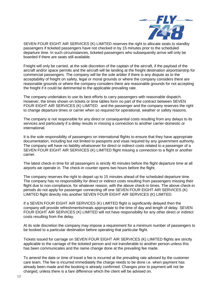

SEVEN FOUR EIGHT AIR SERVICES (K) LIMITED reserves the right to allocate seats to standby passengers if ticketed passengers have not checked in by 15 minutes prior to the scheduled departure time. In such circumstances, ticketed passengers who subsequently arrive will only be boarded if there are seats still available.

Freight will only be carried, at the sole discretion of the captain of the aircraft, if the payload of the aircraft and/or space permits and the aircraft will be landing at the freight destination airport/airstrip for commercial passengers. The company will be the sole arbiter if there is any dispute as to the acceptability of freight on safety, legal or moral grounds or where the company considers there are reasonable grounds or where the company considers there are reasonable grounds for not accepting the freight if it could be detrimental to the applicable prevailing rate.

The company undertakes to use its best efforts to carry passengers with reasonable dispatch. However, the times shown on tickets or time tables form no part of the contract between SEVEN FOUR EIGHT AIR SERVICES (K) LIMITED and the passenger and the company reserves the right to change departure times or carrier when so required for operational, weather or safety reasons.

The company is not responsible for any direct or consequential costs resulting from any delays to its services and particularly if a delay results in missing a connection to another carrier-domestic or international.

It is the sole responsibility of passengers on international flights to ensure that they have appropriate documentation, including but not limited to passports and visas required by any government authority. The company will have no liability whatsoever for direct or indirect costs related to a passenger of a SEVEN FOUR EIGHT AIR SERVICES (K) LIMITED flight missing a connection to a flight or another carrier.

The latest check-in time for all passengers is strictly 40 minutes before the flight departure time at all airports we operate in. The check-in counter opens two hours before the flight.

The company reserves the right to depart up to 15 minutes ahead of the scheduled departure time. The company has no responsibility for direct or indirect costs resulting from passengers missing their flight due to non-compliance, for whatever reason, with the above check-in times. The above check-in periods do not apply for passenger connecting off one SEVEN FOUR EIGHT AIR SERVICES (K) LIMITED flight directly into another SEVEN FOUR EIGHT AIR SERVICES (K) LIMITED.

If a SEVEN FOUR EIGHT AIR SERVICES (K) LIMITED flight is significantly delayed then the company will provide refreshments/meals appropriate to the time of day and length of delay. SEVEN FOUR EIGHT AIR SERVICES (K) LIMITED will not have responsibility for any other direct or indirect costs resulting from the delay.

At its sole discretion the company may impose a requirement for a minimum number of passengers to be booked to a particular destination before operating that particular flight.

Tickets issued for carriage on SEVEN FOUR EIGHT AIR SERVICES (K) LIMITED flights are strictly applicable to the carriage of the ticketed person and not transferable to another person unless this has been communicates and the name change done at the prevailing fee made.

To amend the date or time of travel a fee is incurred at the prevailing rate advised by the customer care team. The fee is incurred immediately the charge needs to be done i.e. when payment has already been made and the booking is already confirmed. Changes prior to payment will not be charged, unless there is a fare difference which the client will be advised on.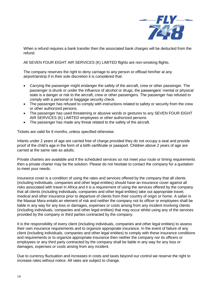

When a refund requires a bank transfer then the associated bank charges will be deducted from the refund.

All SEVEN FOUR EIGHT AIR SERVICES (K) LIMITED flights are non-smoking flights.

The company reserves the right to deny carriage to any person or offload him/her at any airport/airstrip if in their sole discretion it is considered that:

- Carrying the passenger might endanger the safety of the aircraft, crew or other passenger. The passenger is drunk or under the influence of alcohol or drugs, the passengers' mental or physical state is a danger or risk to the aircraft, crew or other passengers. The passenger has refused to comply with a personal or baggage security check.
- The passenger has refused to comply with instructions related to safety or security from the crew or other authorized persons.
- The passenger has used threatening or abusive words or gestures to any SEVEN FOUR EIGHT AIR SERVICES (K) LIMITED employees or other authorized persons
- The passenger has made any threat related to the safety of the aircraft.

Tickets are valid for 6 months, unless specified otherwise.

Infants under 2 years of age are carried free of charge provided they do not occupy a seat and provide proof of the child's age in the form of a birth certificate or passport. Children above 2 years of age are carried at the same rate as adults.

Private charters are available and if the scheduled services so not meet your route or timing requirements then a private charter may be the solution. Please do not hesitate to contact the company for a quotation to meet your needs.

Insurance cover is a condition of using the rates and services offered by the company that all clients (including individuals, companies and other legal entities) should have an insurance cover against all risks associated with travel in Africa and it is a requirement of using the services offered by the company that all clients (including individuals, companies and other legal entities) take out appropriate travel, medical and other insurance prior to departure of clients from their country of origin or home. A safari in the Maasai Mara entails an element of risk and neither the company not its officer or employees shall be liable in any way for any loss or damages, expenses or costs arising from any incident involving clients (including individuals, companies and other legal entities) that may occur whilst using any of the services provided by the company or third parties contracted by the company.

It is the responsibility of every client (including individuals, companies and other legal entities) to assess their own insurance requirements and to organize appropriate insurance. In the event of failure of any client (including individuals, companies and other legal entities) to comply with these insurance conditions and requirements or to organize appropriate insurance then neither the company nor its officers or employees or any third party contracted by the company shall be liable in any way for any loss or damages, expenses or costs arising from any incident.

Due to currency fluctuation and increases in costs and taxes beyond our control we reserve the right to increase rates without notice. All rates are subject to change.